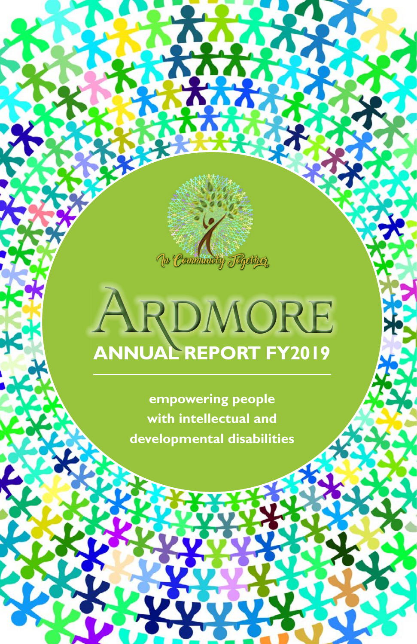

# **ARDMORE**

**empowering people with intellectual and developmental disabilities**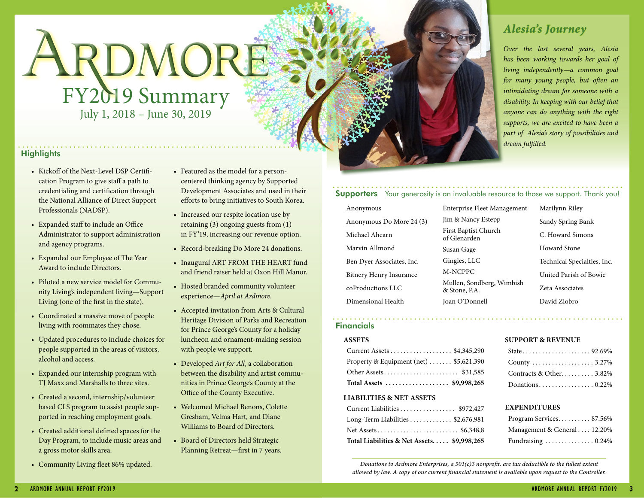# ARDMORE FY2019 Summary July 1, 2018 – June 30, 2019

## **Highlights**

- Kickoff of the Next-Level DSP Certification Program to give staff a path to credentialing and certification through the National Alliance of Direct Support Professionals (NADSP).
- Expanded staff to include an Office Administrator to support administration and agency programs.
- Expanded our Employee of The Year Award to include Directors.
- Piloted a new service model for Community Living's independent living—Support Living (one of the first in the state).
- Coordinated a massive move of people living with roommates they chose.
- Updated procedures to include choices for people supported in the areas of visitors, alcohol and access.
- Expanded our internship program with TJ Maxx and Marshalls to three sites.
- Created a second, internship/volunteer based CLS program to assist people supported in reaching employment goals.
- Created additional defined spaces for the Day Program, to include music areas and a gross motor skills area.
- Community Living fleet 86% updated.
- Featured as the model for a personcentered thinking agency by Supported Development Associates and used in their efforts to bring initiatives to South Korea.
- Increased our respite location use by retaining (3) ongoing guests from (1) in FY'19, increasing our revenue option.
- Record-breaking Do More 24 donations.
- Inaugural ART FROM THE HEART fund and friend raiser held at Oxon Hill Manor.
- Hosted branded community volunteer experience—*April at Ardmore.*
- Accepted invitation from Arts & Cultural Heritage Division of Parks and Recreation for Prince George's County for a holiday luncheon and ornament-making session with people we support.
- Developed *Art for All*, a collaboration between the disability and artist communities in Prince George's County at the Office of the County Executive.
- Welcomed Michael Benons, Colette Gresham, Velma Hart, and Diane Williams to Board of Directors.
- Board of Directors held Strategic Planning Retreat—first in 7 years.

# *Alesia's Journey*

*Over the last several years, Alesia has been working towards her goal of living independently—a common goal for many young people, but often an intimidating dream for someone with a disability. In keeping with our belief that anyone can do anything with the right supports, we are excited to have been a part of Alesia's story of possibilities and dream fulfilled.*

### **Supporters** Your generosity is an invaluable resource to those we support. Thank you!

Anonymous Anonymous Do More 24 (3) Michael Ahearn Marvin Allmond Ben Dyer Associates, Inc. Bitnery Henry Insurance coProductions LLC Dimensional Health

Enterprise Fleet Management Jim & Nancy Estepp First Baptist Church of Glenarden Susan Gage Gingles, LLC M-NCPPC Mullen, Sondberg, Wimbish & Stone, P.A. Joan O'Donnell

Marilynn Riley Sandy Spring Bank C. Howard Simons Howard Stone Technical Specialties, Inc. United Parish of Bowie Zeta Associates David Ziobro

# Financials

#### **ASSETS**

| Total Assets  \$9,998,265                            |
|------------------------------------------------------|
| Other Assets \$31,585                                |
| Property & Equipment (net) $\dots \dots$ \$5,621,390 |
| Current Assets \$4,345,290                           |

#### **LIABILITIES & NET ASSETS**

| Current Liabilities \$972,427              |  |
|--------------------------------------------|--|
| Long-Term Liabilities \$2,676,981          |  |
| Net Assets \$6,348,8                       |  |
| Total Liabilities & Net Assets \$9,998,265 |  |

#### **SUPPORT & REVENUE**

| County 3.27%            |  |
|-------------------------|--|
| Contracts & Other 3.82% |  |
|                         |  |

#### **EXPENDITURES**

| Program Services 87.56%     |
|-----------------------------|
| Management & General 12.20% |
| Fundraising  0.24%          |

*Donations to Ardmore Enterprises, a 501(c)3 nonprofit, are tax deductible to the fullest extent allowed by law. A copy of our current financial statement is available upon request to the Controller.*